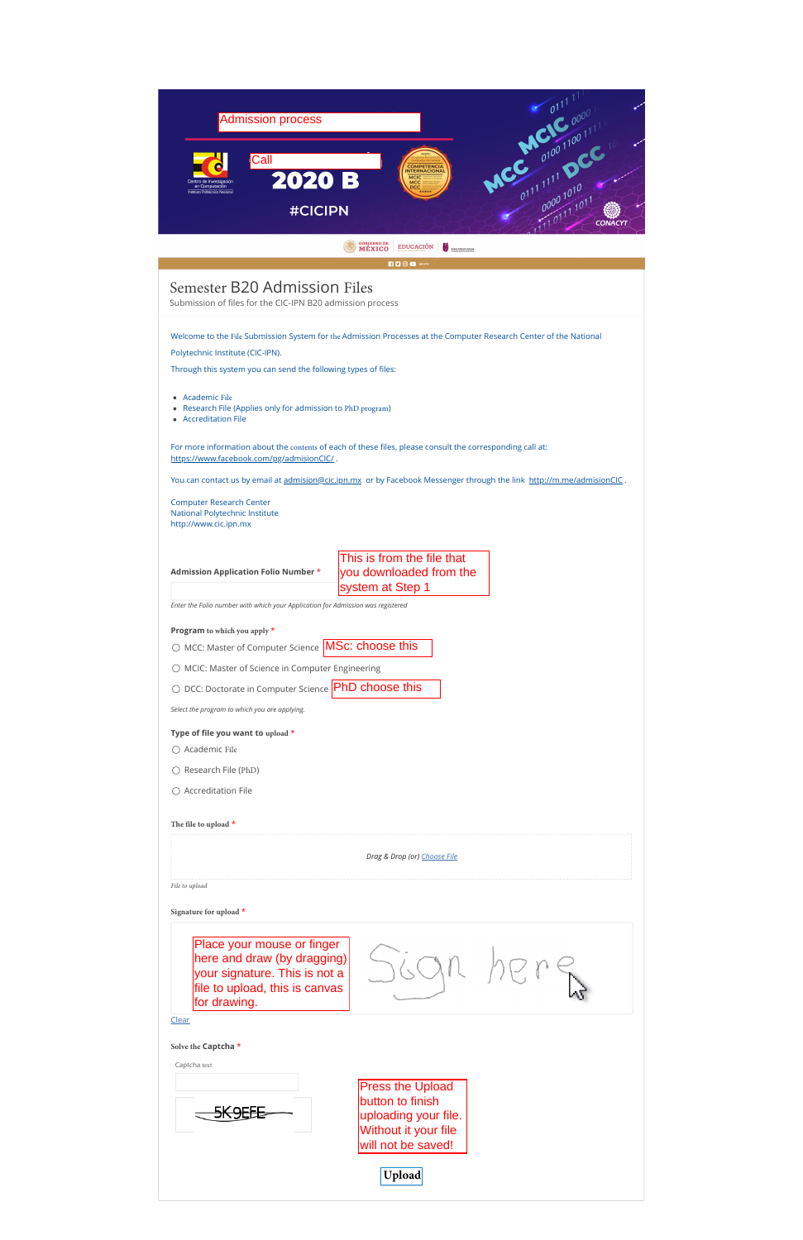| <b>MINUTO</b>   "                                                                                                                                      |
|--------------------------------------------------------------------------------------------------------------------------------------------------------|
| <b>RD</b> OD ipn.mx                                                                                                                                    |
| Semester B20 Admission Files<br>Submission of files for the CIC-IPN B20 admission process                                                              |
| Welcome to the File Submission System for the Admission Processes at the Computer Research Center of the National<br>Polytechnic Institute (CIC-IPN).  |
|                                                                                                                                                        |
| Through this system you can send the following types of files:                                                                                         |
| <b>Academic File</b><br>• Research File (Applies only for admission to PhD program)<br>• Accreditation File                                            |
| For more information about the contents of each of these files, please consult the corresponding call at:<br>https://www.facebook.com/pg/admisionCIC/. |
| You can contact us by email at admision@cic.ipn.mx or by Facebook Messenger through the link http://m.me/admisionClC.                                  |
| <b>Computer Research Center</b><br>National Polytechnic Institute<br>http://www.cic.ipn.mx                                                             |
| This is from the file that<br>you downloaded from the<br><b>Admission Application Folio Number *</b><br>system at Step 1                               |
| Enter the Folio number with which your Application for Admission was registered                                                                        |
| <b>Program</b> to which you apply *                                                                                                                    |
| O MCC: Master of Computer Science   MSc: choose this                                                                                                   |
| ○ MCIC: Master of Science in Computer Engineering                                                                                                      |
| $\circlearrowright$ DCC: Doctorate in Computer Science $ PhD$ choose this                                                                              |
| Select the program to which you are applying.                                                                                                          |
| Type of file you want to upload *                                                                                                                      |
| $\bigcirc$ Academic File                                                                                                                               |
| Research File (PhD)                                                                                                                                    |
| $\bigcirc$ Accreditation File                                                                                                                          |
| The file to upload $*$                                                                                                                                 |
| Drag & Drop (or) Choose File                                                                                                                           |

Place your mouse or finger here and draw (by dragging) your signature. This is not a file to upload, this is canvas for drawing.



**Press the Upload** button to finish uploading your file. Without it your file will not be saved!

*File to upload*

**Signature for upload** \*

[Clear](javascript:void(0);)

**Solve the Captcha** \*

Captcha text